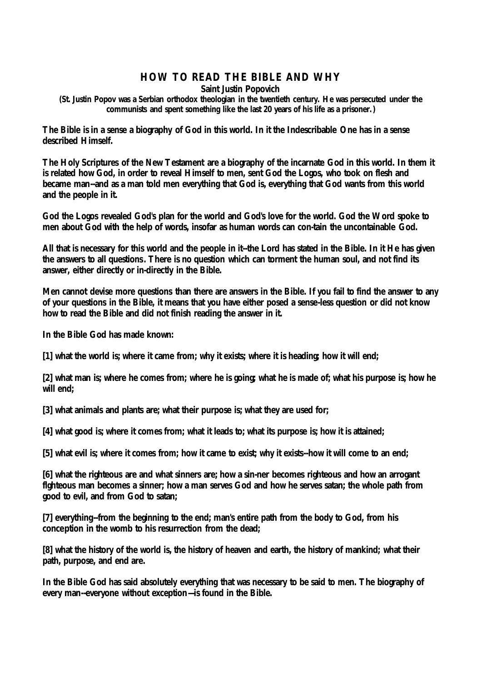## **HOW TO READ THE BIBLE AND WHY Saint Justin Popovich**

**(St. Justin Popov was a Serbian orthodox theologian in the twentieth century. He was persecuted under the communists and spent something like the last 20 years of his life as a prisoner.)**

**The Bible is in a sense a biography of God in this world. In it the Indescribable One has in a sense described Himself.**

**The Holy Scriptures of the New Testament are a biography of the incarnate God in this world. In them it is related how God, in order to reveal Himself to men, sent God the Logos, who took on flesh and became man--and as a man told men everything that God is, everything that God wants from this world and the people in it.**

**God the Logos revealed God's plan for the world and God's love for the world. God the Word spoke to men about God with the help of words, insofar as human words can con-tain the uncontainable God.**

**All that is necessary for this world and the people in it--the Lord has stated in the Bible. In it He has given the answers to all questions. There is no question which can torment the human soul, and not find its answer, either directly or in-directly in the Bible.**

**Men cannot devise more questions than there are answers in the Bible. If you fail to find the answer to any of your questions in the Bible, it means that you have either posed a sense-less question or did not know how to read the Bible and did not finish reading the answer in it.**

**In the Bible God has made known:**

**[1] what the world is; where it came from; why it exists; where it is heading; how it will end;**

**[2] what man is; where he comes from; where he is going; what he is made of; what his purpose is; how he will end;**

**[3] what animals and plants are; what their purpose is; what they are used for;**

**[4] what good is; where it comes from; what it leads to; what its purpose is; how it is attained;**

**[5] what evil is; where it comes from; how it came to exist; why it exists--how it will come to an end;**

**[6] what the righteous are and what sinners are; how a sin-ner becomes righteous and how an arrogant flghteous man becomes a sinner; how a man serves God and how he serves satan; the whole path from good to evil, and from God to satan;**

**[7] everything--from the beginning to the end; man's entire path from the body to God, from his conception in the womb to his resurrection from the dead;**

**[8] what the history of the world is, the history of heaven and earth, the history of mankind; what their path, purpose, and end are.**

**In the Bible God has said absolutely everything that was necessary to be said to men. The biography of every man--everyone without exception—is found in the Bible.**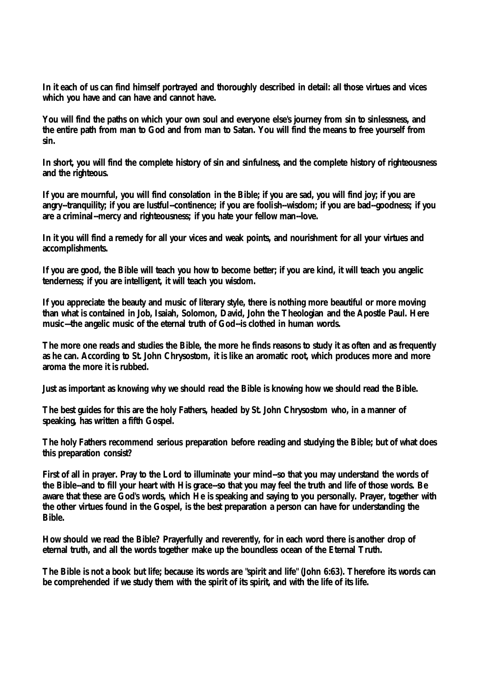**In it each of us can find himself portrayed and thoroughly described in detail: all those virtues and vices which you have and can have and cannot have.**

**You will find the paths on which your own soul and everyone else's journey from sin to sinlessness, and the entire path from man to God and from man to Satan. You will find the means to free yourself from sin.**

**In short, you will find the complete history of sin and sinfulness, and the complete history of righteousness and the righteous.**

**If you are mournful, you will find consolation in the Bible; if you are sad, you will find joy; if you are angry--tranquility; if you are lustful--continence; if you are foolish--wisdom; if you are bad--goodness; if you are a criminal--mercy and righteousness; if you hate your fellow man--love.**

**In it you will find a remedy for all your vices and weak points, and nourishment for all your virtues and accomplishments.**

**If you are good, the Bible will teach you how to become better; if you are kind, it will teach you angelic tenderness; if you are intelligent, it will teach you wisdom.**

**If you appreciate the beauty and music of literary style, there is nothing more beautiful or more moving than what is contained in Job, Isaiah, Solomon, David, John the Theologian and the Apostle Paul. Here music—the angelic music of the eternal truth of God--is clothed in human words.**

**The more one reads and studies the Bible, the more he finds reasons to study it as often and as frequently as he can. According to St. John Chrysostom, it is like an aromatic root, which produces more and more aroma the more it is rubbed.**

**Just as important as knowing why we should read the Bible is knowing how we should read the Bible.**

**The best guides for this are the holy Fathers, headed by St. John Chrysostom who, in a manner of speaking, has written a fifth Gospel.**

**The holy Fathers recommend serious preparation before reading and studying the Bible; but of what does this preparation consist?**

**First of all in prayer. Pray to the Lord to illuminate your mind--so that you may understand the words of the Bible--and to fill your heart with His grace--so that you may feel the truth and life of those words. Be aware that these are God's words, which He is speaking and saying to you personally. Prayer, together with the other virtues found in the Gospel, is the best preparation a person can have for understanding the Bible.**

**How should we read the Bible? Prayerfully and reverently, for in each word there is another drop of eternal truth, and all the words together make up the boundless ocean of the Eternal Truth.**

**The Bible is not a book but life; because its words are "spirit and life" (John 6:63). Therefore its words can be comprehended if we study them with the spirit of its spirit, and with the life of its life.**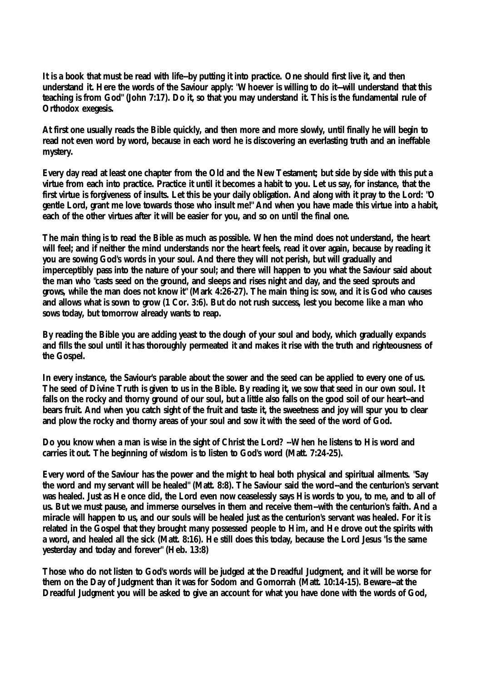**It is a book that must be read with life--by putting it into practice. One should first live it, and then understand it. Here the words of the Saviour apply: "Whoever is willing to do it—will understand that this teaching is from God" (John 7:17). Do it, so that you may understand it. This is the fundamental rule of Orthodox exegesis.**

**At first one usually reads the Bible quickly, and then more and more slowly, until finally he will begin to read not even word by word, because in each word he is discovering an everlasting truth and an ineffable mystery.**

**Every day read at least one chapter from the Old and the New Testament; but side by side with this put a virtue from each into practice. Practice it until it becomes a habit to you. Let us say, for instance, that the first virtue is forgiveness of insults. Let this be your daily obligation. And along with it pray to the Lord: "O gentle Lord, grant me love towards those who insult me!" And when you have made this virtue into a habit, each of the other virtues after it will be easier for you, and so on until the final one.**

**The main thing is to read the Bible as much as possible. When the mind does not understand, the heart will feel; and if neither the mind understands nor the heart feels, read it over again, because by reading it you are sowing God's words in your soul. And there they will not perish, but will gradually and imperceptibly pass into the nature of your soul; and there will happen to you what the Saviour said about the man who "casts seed on the ground, and sleeps and rises night and day, and the seed sprouts and grows, while the man does not know it" (Mark 4:26-27). The main thing is: sow, and it is God who causes and allows what is sown to grow (1 Cor. 3:6). But do not rush success, lest you become like a man who sows today, but tomorrow already wants to reap.**

**By reading the Bible you are adding yeast to the dough of your soul and body, which gradually expands and fills the soul until it has thoroughly permeated it and makes it rise with the truth and righteousness of the Gospel.**

**In every instance, the Saviour's parable about the sower and the seed can be applied to every one of us. The seed of Divine Truth is given to us in the Bible. By reading it, we sow that seed in our own soul. It falls on the rocky and thorny ground of our soul, but a little also falls on the good soil of our heart--and bears fruit. And when you catch sight of the fruit and taste it, the sweetness and joy will spur you to clear and plow the rocky and thorny areas of your soul and sow it with the seed of the word of God.**

**Do you know when a man is wise in the sight of Christ the Lord? --When he listens to His word and carries it out. The beginning of wisdom is to listen to God's word (Matt. 7:24-25).**

**Every word of the Saviour has the power and the might to heal both physical and spiritual ailments. "Say the word and my servant will be healed" (Matt. 8:8). The Saviour said the word--and the centurion's servant was healed. Just as He once did, the Lord even now ceaselessly says His words to you, to me, and to all of us. But we must pause, and immerse ourselves in them and receive them--with the centurion's faith. And a miracle will happen to us, and our souls will be healed just as the centurion's servant was healed. For it is related in the Gospel that they brought many possessed people to Him, and He drove out the spirits with a word, and healed all the sick (Matt. 8:16). He still does this today, because the Lord Jesus "is the same yesterday and today and forever" (Heb. 13:8)**

**Those who do not listen to God's words will be judged at the Dreadful Judgment, and it will be worse for them on the Day of Judgment than it was for Sodom and Gomorrah (Matt. 10:14-15). Beware--at the Dreadful Judgment you will be asked to give an account for what you have done with the words of God,**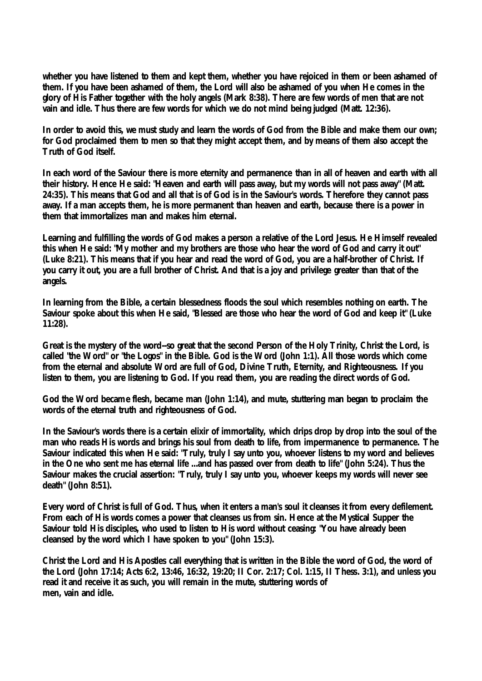**whether you have listened to them and kept them, whether you have rejoiced in them or been ashamed of them. If you have been ashamed of them, the Lord will also be ashamed of you when He comes in the glory of His Father together with the holy angels (Mark 8:38). There are few words of men that are not vain and idle. Thus there are few words for which we do not mind being judged (Matt. 12:36).**

**In order to avoid this, we must study and learn the words of God from the Bible and make them our own; for God proclaimed them to men so that they might accept them, and by means of them also accept the Truth of God itself.**

**In each word of the Saviour there is more eternity and permanence than in all of heaven and earth with all their history. Hence He said: "Heaven and earth will pass away, but my words will not pass away" (Matt. 24:35). This means that God and all that is of God is in the Saviour's words. Therefore they cannot pass away. If a man accepts them, he is more permanent than heaven and earth, because there is a power in them that immortalizes man and makes him eternal.**

**Learning and fulfilling the words of God makes a person a relative of the Lord Jesus. He Himself revealed this when He said: "My mother and my brothers are those who hear the word of God and carry it out" (Luke 8:21). This means that if you hear and read the word of God, you are a half-brother of Christ. If you carry it out, you are a full brother of Christ. And that is a joy and privilege greater than that of the angels.**

**In learning from the Bible, a certain blessedness floods the soul which resembles nothing on earth. The Saviour spoke about this when He said, "Blessed are those who hear the word of God and keep it" (Luke 11:28).**

**Great is the mystery of the word--so great that the second Person of the Holy Trinity, Christ the Lord, is called "the Word" or "the Logos" in the Bible. God is the Word (John 1:1). All those words which come from the eternal and absolute Word are full of God, Divine Truth, Eternity, and Righteousness. If you listen to them, you are listening to God. If you read them, you are reading the direct words of God.**

**God the Word became flesh, became man (John 1:14), and mute, stuttering man began to proclaim the words of the eternal truth and righteousness of God.**

**In the Saviour's words there is a certain elixir of immortality, which drips drop by drop into the soul of the man who reads His words and brings his soul from death to life, from impermanence to permanence. The Saviour indicated this when He said: "Truly, truly I say unto you, whoever listens to my word and believes in the One who sent me has eternal life ...and has passed over from death to life" (John 5:24). Thus the Saviour makes the crucial assertion: "Truly, truly I say unto you, whoever keeps my words will never see death" (John 8:51).**

**Every word of Christ is full of God. Thus, when it enters a man's soul it cleanses it from every defilement. From each of His words comes a power that cleanses us from sin. Hence at the Mystical Supper the Saviour told His disciples, who used to listen to His word without ceasing: "You have already been cleansed by the word which I have spoken to you" (John 15:3).**

**Christ the Lord and His Apostles call everything that is written in the Bible the word of God, the word of the Lord (John 17:14; Acts 6:2, 13:46, 16:32, 19:20; II Cor. 2:17; Col. 1:15, II Thess. 3:1), and unless you read it and receive it as such, you will remain in the mute, stuttering words of men, vain and idle.**